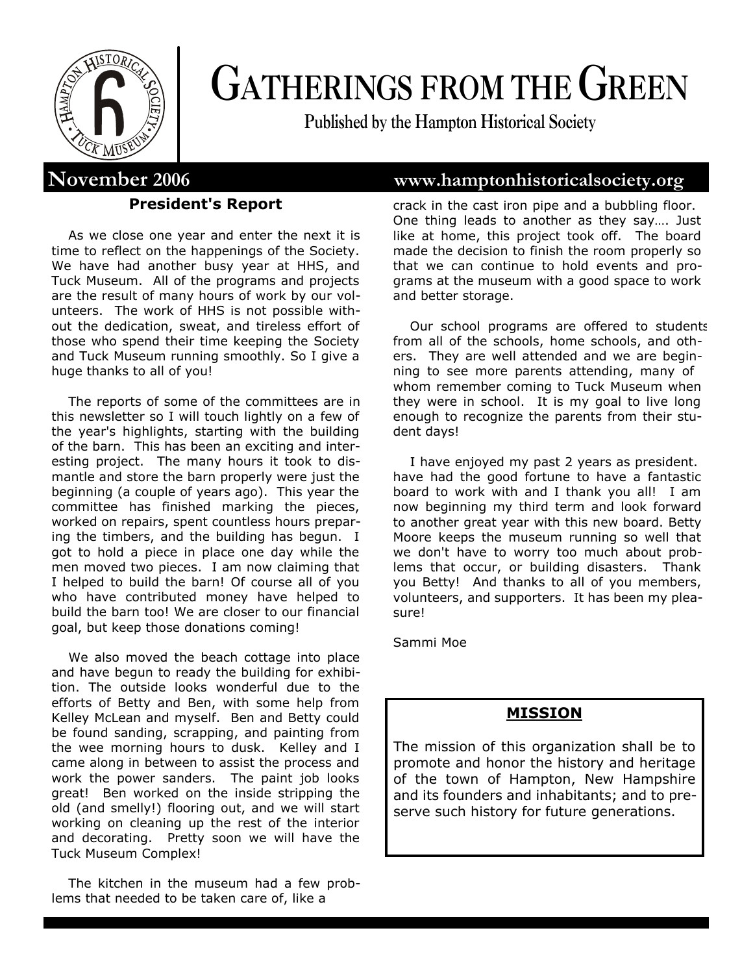

# **GATHERINGS FROM THE GREEN**

**Published by the Hampton Historical Society**

#### **President's Report**

As we close one year and enter the next it is time to reflect on the happenings of the Society. We have had another busy year at HHS, and Tuck Museum. All of the programs and projects are the result of many hours of work by our volunteers. The work of HHS is not possible without the dedication, sweat, and tireless effort of those who spend their time keeping the Society and Tuck Museum running smoothly. So I give a huge thanks to all of you!

The reports of some of the committees are in this newsletter so I will touch lightly on a few of the year's highlights, starting with the building of the barn. This has been an exciting and interesting project. The many hours it took to dismantle and store the barn properly were just the beginning (a couple of years ago). This year the committee has finished marking the pieces, worked on repairs, spent countless hours preparing the timbers, and the building has begun. I got to hold a piece in place one day while the men moved two pieces. I am now claiming that I helped to build the barn! Of course all of you who have contributed money have helped to build the barn too! We are closer to our financial goal, but keep those donations coming!

We also moved the beach cottage into place and have begun to ready the building for exhibition. The outside looks wonderful due to the efforts of Betty and Ben, with some help from Kelley McLean and myself. Ben and Betty could be found sanding, scrapping, and painting from the wee morning hours to dusk. Kelley and I came along in between to assist the process and work the power sanders. The paint job looks great! Ben worked on the inside stripping the old (and smelly!) flooring out, and we will start working on cleaning up the rest of the interior and decorating. Pretty soon we will have the Tuck Museum Complex!

The kitchen in the museum had a few problems that needed to be taken care of, like a

## **November 2006 www.hamptonhistoricalsociety.org**

crack in the cast iron pipe and a bubbling floor. One thing leads to another as they say…. Just like at home, this project took off. The board made the decision to finish the room properly so that we can continue to hold events and programs at the museum with a good space to work and better storage.

Our school programs are offered to students from all of the schools, home schools, and others. They are well attended and we are beginning to see more parents attending, many of whom remember coming to Tuck Museum when they were in school. It is my goal to live long enough to recognize the parents from their student days!

I have enjoyed my past 2 years as president. have had the good fortune to have a fantastic board to work with and I thank you all! I am now beginning my third term and look forward to another great year with this new board. Betty Moore keeps the museum running so well that we don't have to worry too much about problems that occur, or building disasters. Thank you Betty! And thanks to all of you members, volunteers, and supporters. It has been my pleasure!

Sammi Moe

#### **MISSION**

The mission of this organization shall be to promote and honor the history and heritage of the town of Hampton, New Hampshire and its founders and inhabitants; and to preserve such history for future generations.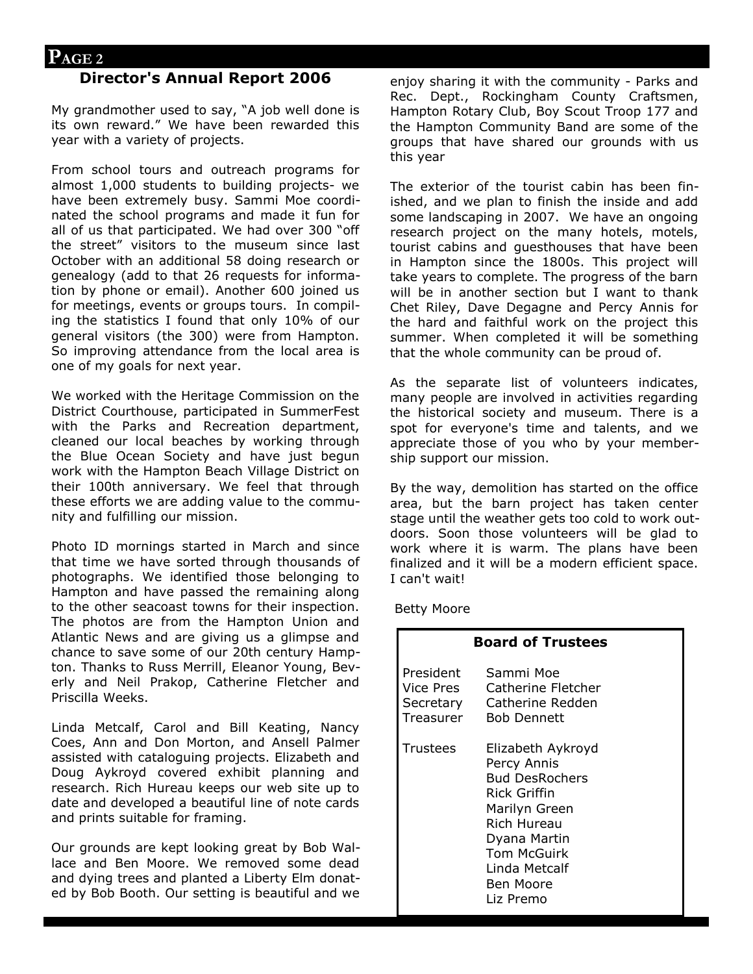#### **Director's Annual Report 2006**

My grandmother used to say, "A job well done is its own reward." We have been rewarded this year with a variety of projects.

From school tours and outreach programs for almost 1,000 students to building projects- we have been extremely busy. Sammi Moe coordinated the school programs and made it fun for all of us that participated. We had over 300 "off the street" visitors to the museum since last October with an additional 58 doing research or genealogy (add to that 26 requests for information by phone or email). Another 600 joined us for meetings, events or groups tours. In compiling the statistics I found that only 10% of our general visitors (the 300) were from Hampton. So improving attendance from the local area is one of my goals for next year.

We worked with the Heritage Commission on the District Courthouse, participated in SummerFest with the Parks and Recreation department, cleaned our local beaches by working through the Blue Ocean Society and have just begun work with the Hampton Beach Village District on their 100th anniversary. We feel that through these efforts we are adding value to the community and fulfilling our mission.

Photo ID mornings started in March and since that time we have sorted through thousands of photographs. We identified those belonging to Hampton and have passed the remaining along to the other seacoast towns for their inspection. The photos are from the Hampton Union and Atlantic News and are giving us a glimpse and chance to save some of our 20th century Hampton. Thanks to Russ Merrill, Eleanor Young, Beverly and Neil Prakop, Catherine Fletcher and Priscilla Weeks.

Linda Metcalf, Carol and Bill Keating, Nancy Coes, Ann and Don Morton, and Ansell Palmer assisted with cataloguing projects. Elizabeth and Doug Aykroyd covered exhibit planning and research. Rich Hureau keeps our web site up to date and developed a beautiful line of note cards and prints suitable for framing.

Our grounds are kept looking great by Bob Wallace and Ben Moore. We removed some dead and dying trees and planted a Liberty Elm donated by Bob Booth. Our setting is beautiful and we enjoy sharing it with the community - Parks and Rec. Dept., Rockingham County Craftsmen, Hampton Rotary Club, Boy Scout Troop 177 and the Hampton Community Band are some of the groups that have shared our grounds with us this year

The exterior of the tourist cabin has been finished, and we plan to finish the inside and add some landscaping in 2007. We have an ongoing research project on the many hotels, motels, tourist cabins and guesthouses that have been in Hampton since the 1800s. This project will take years to complete. The progress of the barn will be in another section but I want to thank Chet Riley, Dave Degagne and Percy Annis for the hard and faithful work on the project this summer. When completed it will be something that the whole community can be proud of.

As the separate list of volunteers indicates, many people are involved in activities regarding the historical society and museum. There is a spot for everyone's time and talents, and we appreciate those of you who by your membership support our mission.

By the way, demolition has started on the office area, but the barn project has taken center stage until the weather gets too cold to work outdoors. Soon those volunteers will be glad to work where it is warm. The plans have been finalized and it will be a modern efficient space. I can't wait!

Betty Moore

| <b>Board of Trustees</b>            |                                                                                                                                                                                                   |
|-------------------------------------|---------------------------------------------------------------------------------------------------------------------------------------------------------------------------------------------------|
| President<br>Vice Pres<br>Treasurer | Sammi Moe<br>Catherine Fletcher<br>Secretary Catherine Redden<br><b>Bob Dennett</b>                                                                                                               |
| Trustees                            | Elizabeth Aykroyd<br>Percy Annis<br><b>Bud DesRochers</b><br>Rick Griffin<br>Marilyn Green<br><b>Rich Hureau</b><br>Dyana Martin<br><b>Tom McGuirk</b><br>Linda Metcalf<br>Ben Moore<br>Liz Premo |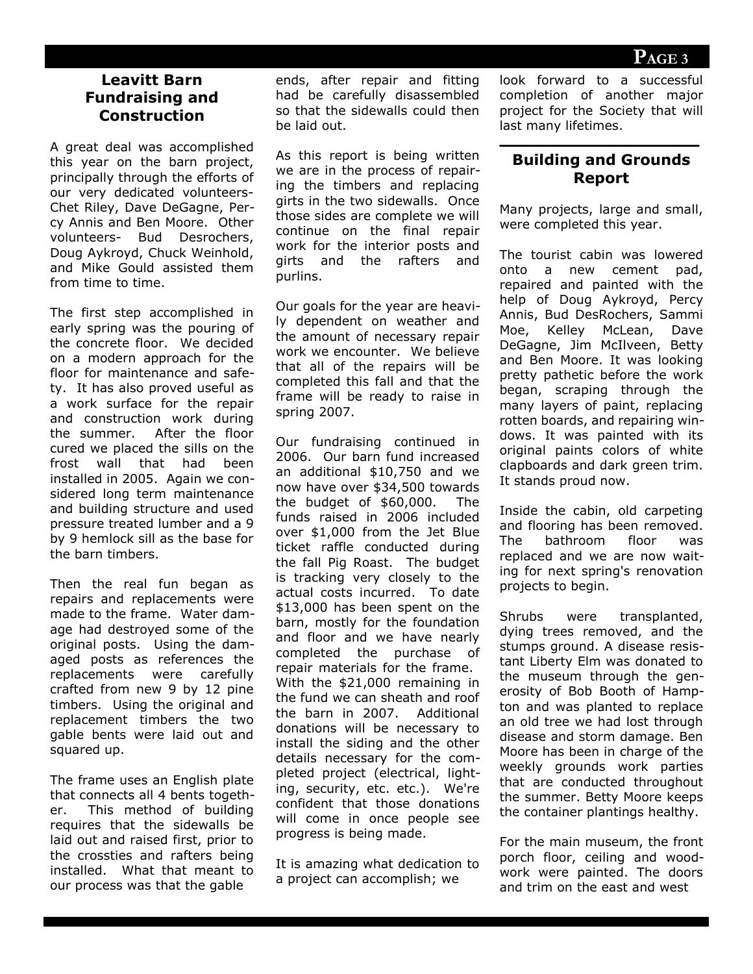#### **Leavitt Barn Fundraising and Construction**

A great deal was accomplished this year on the barn project, principally through the efforts of our very dedicated volunteers-Chet Riley, Dave DeGagne, Percy Annis and Ben Moore. Other volunteers- Bud Desrochers, Doug Aykroyd, Chuck Weinhold, and Mike Gould assisted them from time to time.

The first step accomplished in early spring was the pouring of the concrete floor. We decided on a modern approach for the floor for maintenance and safety. It has also proved useful as a work surface for the repair and construction work during the summer. After the floor cured we placed the sills on the frost wall that had been installed in 2005. Again we considered long term maintenance and building structure and used pressure treated lumber and a 9 by 9 hemlock sill as the base for the barn timbers.

Then the real fun began as repairs and replacements were made to the frame. Water damage had destroyed some of the original posts. Using the damaged posts as references the replacements were carefully crafted from new 9 by 12 pine timbers. Using the original and replacement timbers the two gable bents were laid out and squared up.

The frame uses an English plate that connects all 4 bents together. This method of building requires that the sidewalls be laid out and raised first, prior to the crossties and rafters being installed. What that meant to our process was that the gable

ends, after repair and fitting had be carefully disassembled so that the sidewalls could then be laid out.

As this report is being written we are in the process of repairing the timbers and replacing girts in the two sidewalls. Once those sides are complete we will continue on the final repair work for the interior posts and girts and the rafters and purlins.

Our goals for the year are heavily dependent on weather and the amount of necessary repair work we encounter. We believe that all of the repairs will be completed this fall and that the frame will be ready to raise in spring 2007.

Our fundraising continued in 2006. Our barn fund increased an additional \$10,750 and we now have over \$34,500 towards the budget of \$60,000. The funds raised in 2006 included over \$1,000 from the Jet Blue ticket raffle conducted during the fall Pig Roast. The budget is tracking very closely to the actual costs incurred. To date \$13,000 has been spent on the barn, mostly for the foundation and floor and we have nearly completed the purchase of repair materials for the frame. With the \$21,000 remaining in the fund we can sheath and roof the barn in 2007. Additional donations will be necessary to install the siding and the other details necessary for the completed project (electrical, lighting, security, etc. etc.). We're confident that those donations will come in once people see progress is being made.

It is amazing what dedication to a project can accomplish; we

look forward to a successful completion of another major project for the Society that will last many lifetimes.

#### **Building and Grounds Report**

Many projects, large and small, were completed this year.

The tourist cabin was lowered onto a new cement pad, repaired and painted with the help of Doug Aykroyd, Percy Annis, Bud DesRochers, Sammi Moe, Kelley McLean, Dave DeGagne, Jim McIlveen, Betty and Ben Moore. It was looking pretty pathetic before the work began, scraping through the many layers of paint, replacing rotten boards, and repairing windows. It was painted with its original paints colors of white clapboards and dark green trim. It stands proud now.

Inside the cabin, old carpeting and flooring has been removed. The bathroom floor was replaced and we are now waiting for next spring's renovation projects to begin.

Shrubs were transplanted, dying trees removed, and the stumps ground. A disease resistant Liberty Elm was donated to the museum through the generosity of Bob Booth of Hampton and was planted to replace an old tree we had lost through disease and storm damage. Ben Moore has been in charge of the weekly grounds work parties that are conducted throughout the summer. Betty Moore keeps the container plantings healthy.

For the main museum, the front porch floor, ceiling and woodwork were painted. The doors and trim on the east and west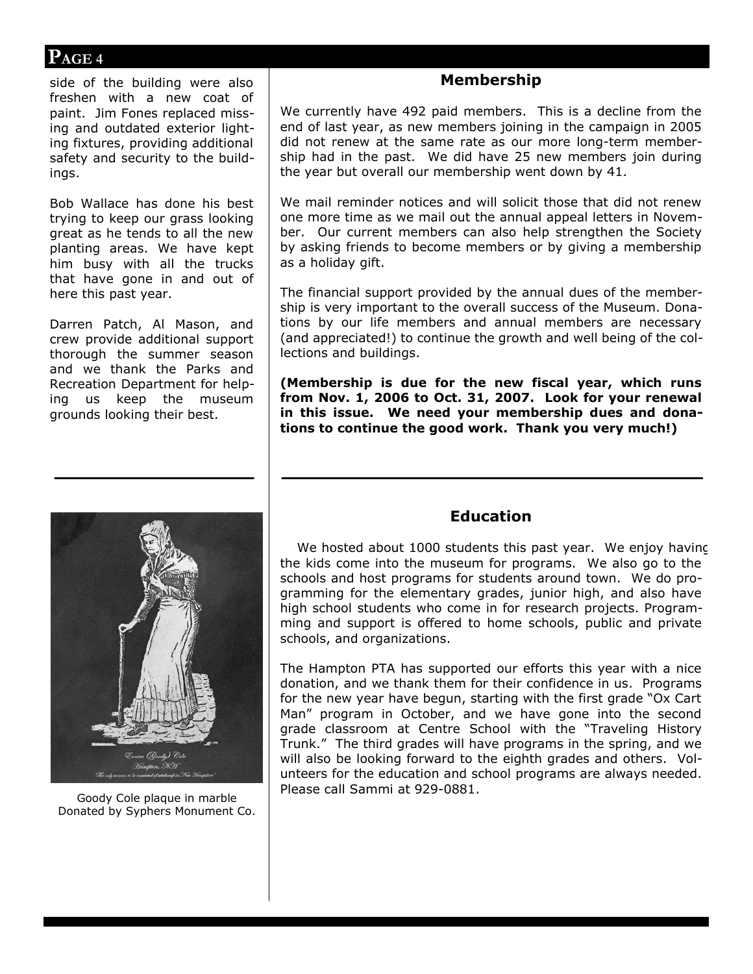### **PAGE 4**

side of the building were also freshen with a new coat of paint. Jim Fones replaced missing and outdated exterior lighting fixtures, providing additional safety and security to the buildings.

Bob Wallace has done his best trying to keep our grass looking great as he tends to all the new planting areas. We have kept him busy with all the trucks that have gone in and out of here this past year.

Darren Patch, Al Mason, and crew provide additional support thorough the summer season and we thank the Parks and Recreation Department for helping us keep the museum grounds looking their best.

Donated by Syphers Monument Co.

#### **Membership**

We currently have 492 paid members. This is a decline from the end of last year, as new members joining in the campaign in 2005 did not renew at the same rate as our more long-term membership had in the past. We did have 25 new members join during the year but overall our membership went down by 41.

We mail reminder notices and will solicit those that did not renew one more time as we mail out the annual appeal letters in November. Our current members can also help strengthen the Society by asking friends to become members or by giving a membership as a holiday gift.

The financial support provided by the annual dues of the membership is very important to the overall success of the Museum. Donations by our life members and annual members are necessary (and appreciated!) to continue the growth and well being of the collections and buildings.

**(Membership is due for the new fiscal year, which runs from Nov. 1, 2006 to Oct. 31, 2007. Look for your renewal in this issue. We need your membership dues and donations to continue the good work. Thank you very much!)**

#### **Education**

We hosted about 1000 students this past year. We enjoy having the kids come into the museum for programs. We also go to the schools and host programs for students around town. We do programming for the elementary grades, junior high, and also have high school students who come in for research projects. Programming and support is offered to home schools, public and private schools, and organizations.

The Hampton PTA has supported our efforts this year with a nice donation, and we thank them for their confidence in us. Programs for the new year have begun, starting with the first grade "Ox Cart Man" program in October, and we have gone into the second grade classroom at Centre School with the "Traveling History Trunk." The third grades will have programs in the spring, and we will also be looking forward to the eighth grades and others. Volunteers for the education and school programs are always needed. Please call Sammi at 929-0881. Goody Cole plaque in marble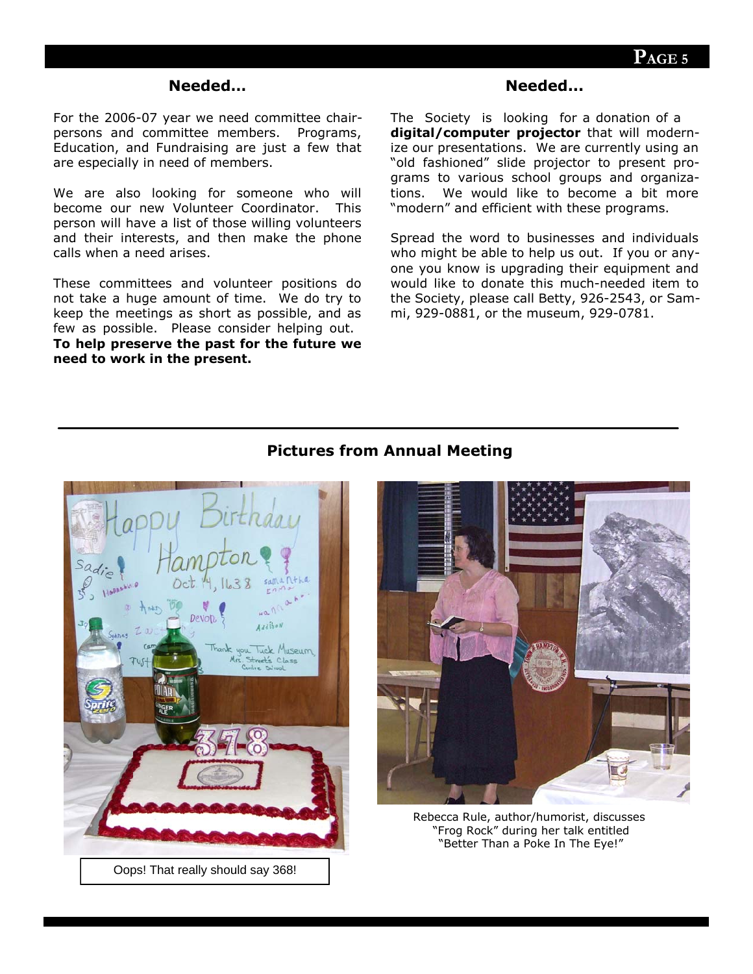#### **Needed…**

For the 2006-07 year we need committee chairpersons and committee members. Programs, Education, and Fundraising are just a few that are especially in need of members.

We are also looking for someone who will become our new Volunteer Coordinator. This person will have a list of those willing volunteers and their interests, and then make the phone calls when a need arises.

These committees and volunteer positions do not take a huge amount of time. We do try to keep the meetings as short as possible, and as few as possible. Please consider helping out. **To help preserve the past for the future we need to work in the present.**

#### **Needed...**

The Society is looking for a donation of a **digital/computer projector** that will modernize our presentations. We are currently using an "old fashioned" slide projector to present programs to various school groups and organizations. We would like to become a bit more "modern" and efficient with these programs.

Spread the word to businesses and individuals who might be able to help us out. If you or anyone you know is upgrading their equipment and would like to donate this much-needed item to the Society, please call Betty, 926-2543, or Sammi, 929-0881, or the museum, 929-0781.



Oops! That really should say 368!

#### **Pictures from Annual Meeting**



Rebecca Rule, author/humorist, discusses "Frog Rock" during her talk entitled "Better Than a Poke In The Eye!"